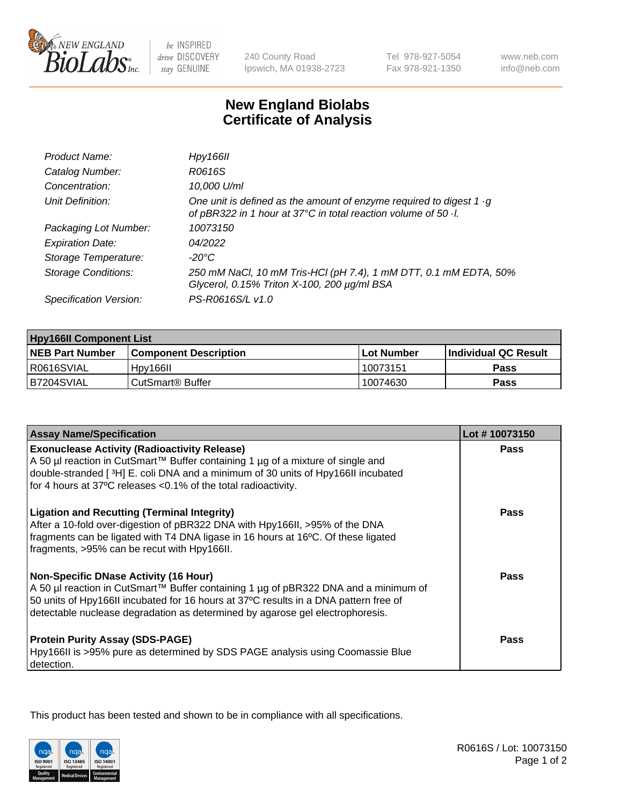

 $be$  INSPIRED drive DISCOVERY stay GENUINE

240 County Road Ipswich, MA 01938-2723 Tel 978-927-5054 Fax 978-921-1350

www.neb.com info@neb.com

## **New England Biolabs Certificate of Analysis**

| Product Name:              | Hpy166II                                                                                                                                      |
|----------------------------|-----------------------------------------------------------------------------------------------------------------------------------------------|
| Catalog Number:            | R0616S                                                                                                                                        |
| Concentration:             | 10,000 U/ml                                                                                                                                   |
| Unit Definition:           | One unit is defined as the amount of enzyme required to digest 1 $\cdot$ g<br>of pBR322 in 1 hour at 37°C in total reaction volume of 50 · l. |
| Packaging Lot Number:      | 10073150                                                                                                                                      |
| <b>Expiration Date:</b>    | 04/2022                                                                                                                                       |
| Storage Temperature:       | $-20^{\circ}$ C                                                                                                                               |
| <b>Storage Conditions:</b> | 250 mM NaCl, 10 mM Tris-HCl (pH 7.4), 1 mM DTT, 0.1 mM EDTA, 50%<br>Glycerol, 0.15% Triton X-100, 200 µg/ml BSA                               |
| Specification Version:     | PS-R0616S/L v1.0                                                                                                                              |

| <b>Hpy166II Component List</b> |                              |            |                             |  |  |
|--------------------------------|------------------------------|------------|-----------------------------|--|--|
| <b>NEB Part Number</b>         | <b>Component Description</b> | Lot Number | <b>Individual QC Result</b> |  |  |
| I R0616SVIAL                   | Hpy166II                     | 10073151   | Pass                        |  |  |
| B7204SVIAL                     | CutSmart <sup>®</sup> Buffer | 10074630   | Pass                        |  |  |

| <b>Assay Name/Specification</b>                                                                                                                                                                                                                                                                              | Lot #10073150 |
|--------------------------------------------------------------------------------------------------------------------------------------------------------------------------------------------------------------------------------------------------------------------------------------------------------------|---------------|
| <b>Exonuclease Activity (Radioactivity Release)</b>                                                                                                                                                                                                                                                          | <b>Pass</b>   |
| A 50 µl reaction in CutSmart™ Buffer containing 1 µg of a mixture of single and<br>double-stranded [3H] E. coli DNA and a minimum of 30 units of Hpy166II incubated                                                                                                                                          |               |
| for 4 hours at 37°C releases <0.1% of the total radioactivity.                                                                                                                                                                                                                                               |               |
| <b>Ligation and Recutting (Terminal Integrity)</b><br>After a 10-fold over-digestion of pBR322 DNA with Hpy166II, >95% of the DNA<br>fragments can be ligated with T4 DNA ligase in 16 hours at 16°C. Of these ligated<br>fragments, >95% can be recut with Hpy166II.                                        | <b>Pass</b>   |
| <b>Non-Specific DNase Activity (16 Hour)</b><br>A 50 µl reaction in CutSmart™ Buffer containing 1 µg of pBR322 DNA and a minimum of<br>50 units of Hpy166II incubated for 16 hours at 37°C results in a DNA pattern free of<br>detectable nuclease degradation as determined by agarose gel electrophoresis. | <b>Pass</b>   |
| <b>Protein Purity Assay (SDS-PAGE)</b><br>Hpy166II is >95% pure as determined by SDS PAGE analysis using Coomassie Blue<br>detection.                                                                                                                                                                        | Pass          |

This product has been tested and shown to be in compliance with all specifications.